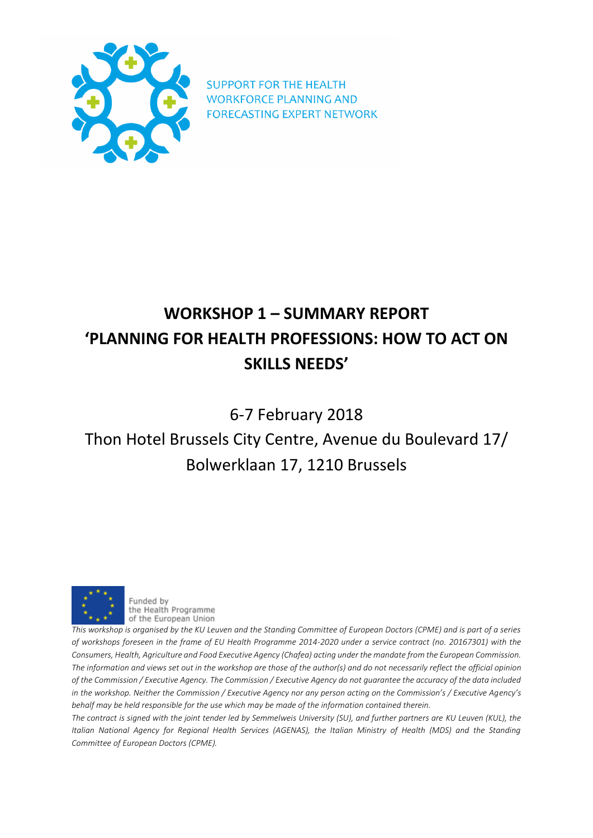

**SUPPORT FOR THE HEALTH WORKFORCE PLANNING AND FORECASTING EXPERT NETWORK** 

# **WORKSHOP 1 – SUMMARY REPORT 'PLANNING FOR HEALTH PROFESSIONS: HOW TO ACT ON SKILLS NEEDS'**

6-7 February 2018

# Thon Hotel Brussels City Centre, Avenue du Boulevard 17/ Bolwerklaan 17, 1210 Brussels



Funded by the Health Programme of the European Union

*This workshop is organised by the KU Leuven and the Standing Committee of European Doctors (CPME) and is part of a series of workshops foreseen in the frame of EU Health Programme 2014-2020 under a service contract (no. 20167301) with the Consumers, Health, Agriculture and Food Executive Agency (Chafea) acting under the mandate from the European Commission.*  The information and views set out in the workshop are those of the author(s) and do not necessarily reflect the official opinion *of the Commission / Executive Agency. The Commission / Executive Agency do not guarantee the accuracy of the data included in the workshop. Neither the Commission / Executive Agency nor any person acting on the Commission's / Executive Agency's behalf may be held responsible for the use which may be made of the information contained therein.*

*The contract is signed with the joint tender led by Semmelweis University (SU), and further partners are KU Leuven (KUL), the Italian National Agency for Regional Health Services (AGENAS), the Italian Ministry of Health (MDS) and the Standing Committee of European Doctors (CPME).*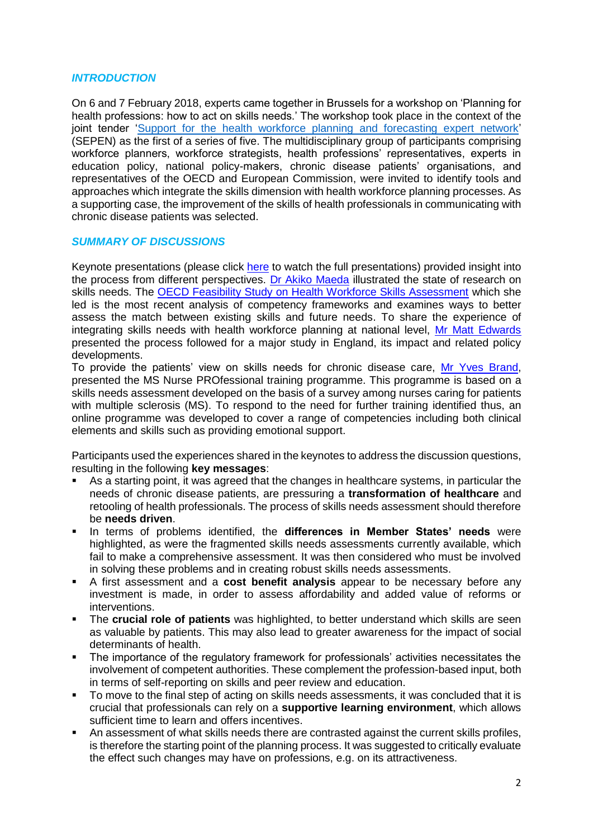#### *INTRODUCTION*

On 6 and 7 February 2018, experts came together in Brussels for a workshop on 'Planning for health professions: how to act on skills needs.' The workshop took place in the context of the joint tender ['Support for the health workforce planning and forecasting expert network'](http://www.healthworkforce.eu/) (SEPEN) as the first of a series of five. The multidisciplinary group of participants comprising workforce planners, workforce strategists, health professions' representatives, experts in education policy, national policy-makers, chronic disease patients' organisations, and representatives of the OECD and European Commission, were invited to identify tools and approaches which integrate the skills dimension with health workforce planning processes. As a supporting case, the improvement of the skills of health professionals in communicating with chronic disease patients was selected.

### *SUMMARY OF DISCUSSIONS*

Keynote presentations (please click [here](https://www.youtube.com/watch?v=abPcy59Uuss&feature=youtu.be) to watch the full presentations) provided insight into the process from different perspectives. [Dr Akiko Maeda](http://www.oecd.org/els/health-systems/workforce.htm) illustrated the state of research on skills needs. The [OECD Feasibility Study on Health Workforce Skills Assessment](http://www.oecd.org/health/health-systems/Feasibility-Study-On-Health-Workforce-Skills-Assessment-Feb2018.pdf) which she led is the most recent analysis of competency frameworks and examines ways to better assess the match between existing skills and future needs. To share the experience of integrating skills needs with health workforce planning at national level, [Mr Matt Edwards](https://www.gov.uk/government/policies?organisations%5B%5D=department-of-health-and-social-care) presented the process followed for a major study in England, its impact and related policy developments.

To provide the patients' view on skills needs for chronic disease care, [Mr Yves Brand,](http://www.emsp.org/) presented the MS Nurse PROfessional training programme. This programme is based on a skills needs assessment developed on the basis of a survey among nurses caring for patients with multiple sclerosis (MS). To respond to the need for further training identified thus, an online programme was developed to cover a range of competencies including both clinical elements and skills such as providing emotional support.

Participants used the experiences shared in the keynotes to address the discussion questions, resulting in the following **key messages**:

- As a starting point, it was agreed that the changes in healthcare systems, in particular the needs of chronic disease patients, are pressuring a **transformation of healthcare** and retooling of health professionals. The process of skills needs assessment should therefore be **needs driven**.
- In terms of problems identified, the **differences in Member States' needs** were highlighted, as were the fragmented skills needs assessments currently available, which fail to make a comprehensive assessment. It was then considered who must be involved in solving these problems and in creating robust skills needs assessments.
- A first assessment and a **cost benefit analysis** appear to be necessary before any investment is made, in order to assess affordability and added value of reforms or interventions.
- The **crucial role of patients** was highlighted, to better understand which skills are seen as valuable by patients. This may also lead to greater awareness for the impact of social determinants of health.
- The importance of the regulatory framework for professionals' activities necessitates the involvement of competent authorities. These complement the profession-based input, both in terms of self-reporting on skills and peer review and education.
- To move to the final step of acting on skills needs assessments, it was concluded that it is crucial that professionals can rely on a **supportive learning environment**, which allows sufficient time to learn and offers incentives.
- An assessment of what skills needs there are contrasted against the current skills profiles, is therefore the starting point of the planning process. It was suggested to critically evaluate the effect such changes may have on professions, e.g. on its attractiveness.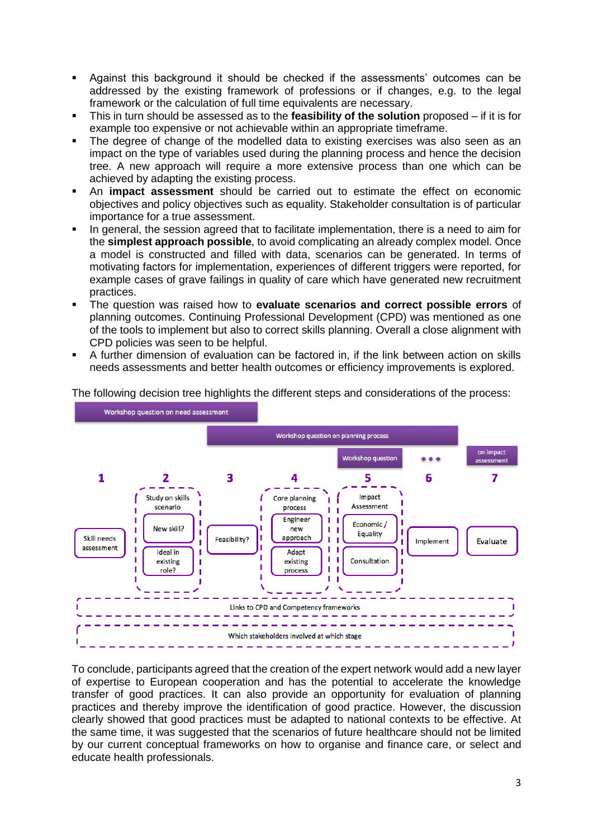- Against this background it should be checked if the assessments' outcomes can be addressed by the existing framework of professions or if changes, e.g. to the legal framework or the calculation of full time equivalents are necessary.
- This in turn should be assessed as to the **feasibility of the solution** proposed if it is for example too expensive or not achievable within an appropriate timeframe.
- The degree of change of the modelled data to existing exercises was also seen as an impact on the type of variables used during the planning process and hence the decision tree. A new approach will require a more extensive process than one which can be achieved by adapting the existing process.
- An **impact assessment** should be carried out to estimate the effect on economic objectives and policy objectives such as equality. Stakeholder consultation is of particular importance for a true assessment.
- In general, the session agreed that to facilitate implementation, there is a need to aim for the **simplest approach possible**, to avoid complicating an already complex model. Once a model is constructed and filled with data, scenarios can be generated. In terms of motivating factors for implementation, experiences of different triggers were reported, for example cases of grave failings in quality of care which have generated new recruitment practices.
- The question was raised how to **evaluate scenarios and correct possible errors** of planning outcomes. Continuing Professional Development (CPD) was mentioned as one of the tools to implement but also to correct skills planning. Overall a close alignment with CPD policies was seen to be helpful.
- A further dimension of evaluation can be factored in, if the link between action on skills needs assessments and better health outcomes or efficiency improvements is explored.

Workshop question on need assessment Workshop question on planning process on impact **Workshop question**  $...$ assessment  $\overline{\mathbf{3}}$ 1  $\overline{2}$ 5 6 7 Λ Impact Study on skills Core planning Assessment scenario process п T Engineer f, f, Economic / New skill? new J. Ī Equality Skill needs Feasibility? approach ı Ï Implement Evaluate assessment I Ī **Ideal** in Adapt J. Ï Consultation existing existing role? process J. Ï I Links to CPD and Competency frameworks Which stakeholders involved at which stage

The following decision tree highlights the different steps and considerations of the process:

To conclude, participants agreed that the creation of the expert network would add a new layer of expertise to European cooperation and has the potential to accelerate the knowledge transfer of good practices. It can also provide an opportunity for evaluation of planning practices and thereby improve the identification of good practice. However, the discussion clearly showed that good practices must be adapted to national contexts to be effective. At the same time, it was suggested that the scenarios of future healthcare should not be limited by our current conceptual frameworks on how to organise and finance care, or select and educate health professionals.